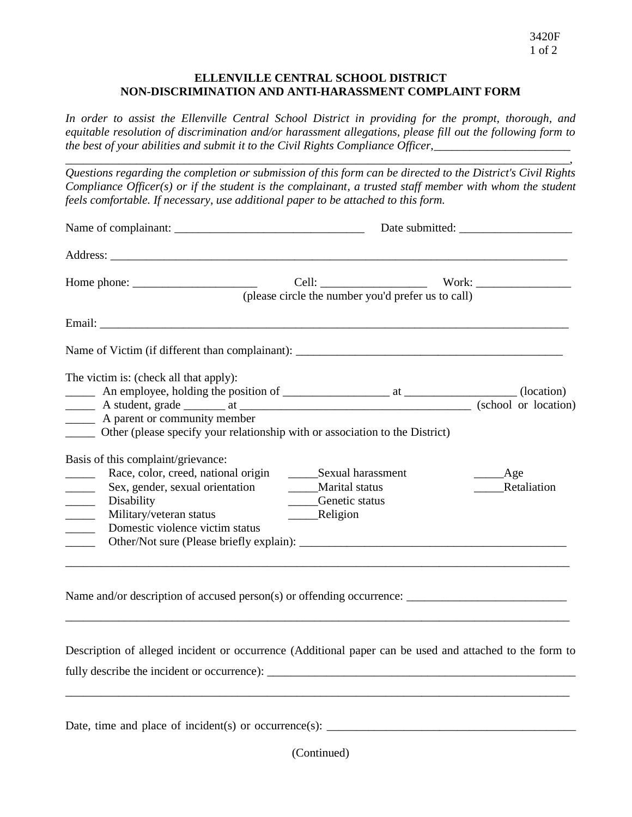## **ELLENVILLE CENTRAL SCHOOL DISTRICT NON-DISCRIMINATION AND ANTI-HARASSMENT COMPLAINT FORM**

*In order to assist the Ellenville Central School District in providing for the prompt, thorough, and equitable resolution of discrimination and/or harassment allegations, please fill out the following form to the best of your abilities and submit it to the Civil Rights Compliance Officer,* 

*\_\_\_\_\_\_\_\_\_\_\_\_\_\_\_\_\_\_\_\_\_\_\_\_\_\_\_\_\_\_\_\_\_\_\_\_\_\_\_\_\_\_\_\_\_\_\_\_\_\_\_\_\_\_\_\_\_\_\_\_\_\_\_\_\_\_\_\_\_\_\_\_\_\_\_\_\_\_\_\_\_\_\_\_\_,*

*Questions regarding the completion or submission of this form can be directed to the District's Civil Rights Compliance Officer(s) or if the student is the complainant, a trusted staff member with whom the student feels comfortable. If necessary, use additional paper to be attached to this form.* 

| Home phone: $\frac{1}{\sqrt{1-\frac{1}{2}}}\left\{ \frac{1}{2}, \frac{1}{2}, \frac{1}{2}, \frac{1}{2}, \frac{1}{2}, \frac{1}{2}, \frac{1}{2}, \frac{1}{2}, \frac{1}{2}, \frac{1}{2}, \frac{1}{2}, \frac{1}{2}, \frac{1}{2}, \frac{1}{2}, \frac{1}{2}, \frac{1}{2}, \frac{1}{2}, \frac{1}{2}, \frac{1}{2}, \frac{1}{2}, \frac{1}{2}, \frac{1}{2}, \frac{1}{2}, \frac{1}{2}, \frac{1}{2}, \frac{1}{2}, \frac{1}{2$ |                                                                  |                         |  |
|------------------------------------------------------------------------------------------------------------------------------------------------------------------------------------------------------------------------------------------------------------------------------------------------------------------------------------------------------------------------------------------------------------------|------------------------------------------------------------------|-------------------------|--|
|                                                                                                                                                                                                                                                                                                                                                                                                                  | (please circle the number you'd prefer us to call)               |                         |  |
|                                                                                                                                                                                                                                                                                                                                                                                                                  |                                                                  |                         |  |
|                                                                                                                                                                                                                                                                                                                                                                                                                  |                                                                  |                         |  |
| The victim is: (check all that apply):                                                                                                                                                                                                                                                                                                                                                                           |                                                                  |                         |  |
| A parent or community member<br>______ Other (please specify your relationship with or association to the District)                                                                                                                                                                                                                                                                                              |                                                                  |                         |  |
| Basis of this complaint/grievance:                                                                                                                                                                                                                                                                                                                                                                               |                                                                  |                         |  |
| Race, color, creed, national origin<br>$\frac{1}{2}$<br>Sex, gender, sexual orientation<br>$\frac{1}{1}$<br>Disability<br>$\frac{1}{\sqrt{1-\frac{1}{2}}\left(1-\frac{1}{2}\right)}\left(\frac{1}{2}-\frac{1}{2}\right)$<br>Military/veteran status<br>$\overline{\phantom{a}}$<br>Domestic violence victim status<br>$\sim$                                                                                     | Sexual harassment<br><b>Marital status</b><br>____Genetic status | _____Age<br>Retaliation |  |

Name and/or description of accused person(s) or offending occurrence:

Description of alleged incident or occurrence (Additional paper can be used and attached to the form to fully describe the incident or occurrence):

\_\_\_\_\_\_\_\_\_\_\_\_\_\_\_\_\_\_\_\_\_\_\_\_\_\_\_\_\_\_\_\_\_\_\_\_\_\_\_\_\_\_\_\_\_\_\_\_\_\_\_\_\_\_\_\_\_\_\_\_\_\_\_\_\_\_\_\_\_\_\_\_\_\_\_\_\_\_\_\_\_\_\_\_\_

\_\_\_\_\_\_\_\_\_\_\_\_\_\_\_\_\_\_\_\_\_\_\_\_\_\_\_\_\_\_\_\_\_\_\_\_\_\_\_\_\_\_\_\_\_\_\_\_\_\_\_\_\_\_\_\_\_\_\_\_\_\_\_\_\_\_\_\_\_\_\_\_\_\_\_\_\_\_\_\_\_\_\_\_\_

Date, time and place of incident(s) or occurrence(s):  $\frac{1}{\sqrt{1-\frac{1}{2}}\sqrt{1-\frac{1}{2}}\sqrt{1-\frac{1}{2}}\sqrt{1-\frac{1}{2}}\sqrt{1-\frac{1}{2}}\sqrt{1-\frac{1}{2}}\sqrt{1-\frac{1}{2}}\sqrt{1-\frac{1}{2}}\sqrt{1-\frac{1}{2}}\sqrt{1-\frac{1}{2}}\sqrt{1-\frac{1}{2}}\sqrt{1-\frac{1}{2}}\sqrt{1-\frac{1}{2}}\sqrt{1-\frac{1}{2}}\sqrt{1-\frac{$ 

(Continued)